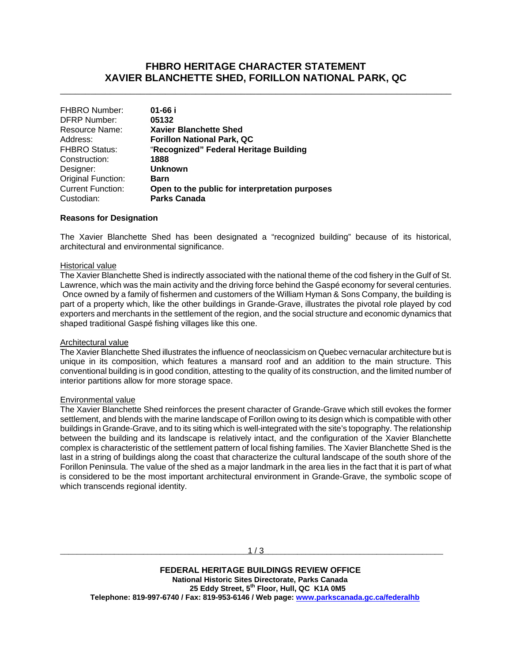## **FHBRO HERITAGE CHARACTER STATEMENT XAVIER BLANCHETTE SHED, FORILLON NATIONAL PARK, QC**

\_\_\_\_\_\_\_\_\_\_\_\_\_\_\_\_\_\_\_\_\_\_\_\_\_\_\_\_\_\_\_\_\_\_\_\_\_\_\_\_\_\_\_\_\_\_\_\_\_\_\_\_\_\_\_\_\_\_\_\_\_\_\_\_\_\_\_\_\_\_\_\_\_\_\_\_\_\_

| <b>FHBRO Number:</b>                            |                                                |
|-------------------------------------------------|------------------------------------------------|
| <b>DFRP Number:</b><br>05132                    |                                                |
| Resource Name:<br><b>Xavier Blanchette Shed</b> |                                                |
| <b>Forillon National Park, QC</b><br>Address:   |                                                |
| <b>FHBRO Status:</b>                            | "Recognized" Federal Heritage Building         |
| Construction:<br>1888                           |                                                |
| <b>Unknown</b><br>Designer:                     |                                                |
| Original Function:<br>Barn                      |                                                |
| <b>Current Function:</b>                        | Open to the public for interpretation purposes |
| <b>Parks Canada</b><br>Custodian:               |                                                |
|                                                 |                                                |

#### **Reasons for Designation**

The Xavier Blanchette Shed has been designated a "recognized building" because of its historical, architectural and environmental significance.

#### Historical value

The Xavier Blanchette Shed is indirectly associated with the national theme of the cod fishery in the Gulf of St. Lawrence, which was the main activity and the driving force behind the Gaspé economy for several centuries. Once owned by a family of fishermen and customers of the William Hyman & Sons Company, the building is part of a property which, like the other buildings in Grande-Grave, illustrates the pivotal role played by cod exporters and merchants in the settlement of the region, and the social structure and economic dynamics that shaped traditional Gaspé fishing villages like this one.

#### Architectural value

The Xavier Blanchette Shed illustrates the influence of neoclassicism on Quebec vernacular architecture but is unique in its composition, which features a mansard roof and an addition to the main structure. This conventional building is in good condition, attesting to the quality of its construction, and the limited number of interior partitions allow for more storage space.

#### Environmental value

The Xavier Blanchette Shed reinforces the present character of Grande-Grave which still evokes the former settlement, and blends with the marine landscape of Forillon owing to its design which is compatible with other buildings in Grande-Grave, and to its siting which is well-integrated with the site's topography. The relationship between the building and its landscape is relatively intact, and the configuration of the Xavier Blanchette complex is characteristic of the settlement pattern of local fishing families. The Xavier Blanchette Shed is the last in a string of buildings along the coast that characterize the cultural landscape of the south shore of the Forillon Peninsula. The value of the shed as a major landmark in the area lies in the fact that it is part of what is considered to be the most important architectural environment in Grande-Grave, the symbolic scope of which transcends regional identity.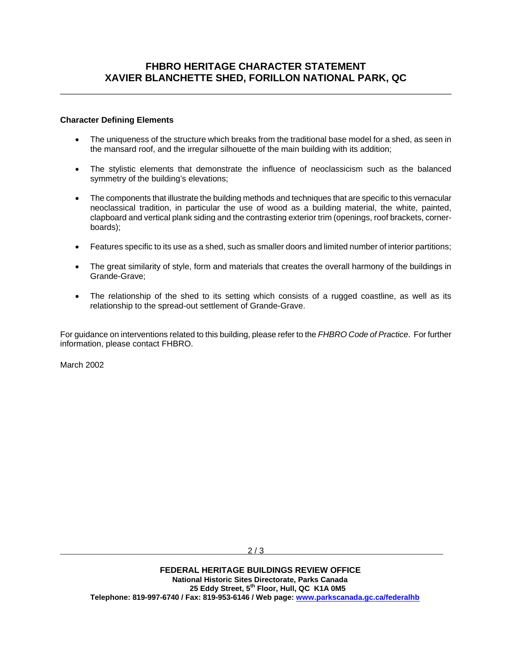\_\_\_\_\_\_\_\_\_\_\_\_\_\_\_\_\_\_\_\_\_\_\_\_\_\_\_\_\_\_\_\_\_\_\_\_\_\_\_\_\_\_\_\_\_\_\_\_\_\_\_\_\_\_\_\_\_\_\_\_\_\_\_\_\_\_\_\_\_\_\_\_\_\_\_\_\_\_

### **Character Defining Elements**

- The uniqueness of the structure which breaks from the traditional base model for a shed, as seen in the mansard roof, and the irregular silhouette of the main building with its addition;
- The stylistic elements that demonstrate the influence of neoclassicism such as the balanced symmetry of the building's elevations;
- The components that illustrate the building methods and techniques that are specific to this vernacular neoclassical tradition, in particular the use of wood as a building material, the white, painted, clapboard and vertical plank siding and the contrasting exterior trim (openings, roof brackets, cornerboards);
- Features specific to its use as a shed, such as smaller doors and limited number of interior partitions;
- The great similarity of style, form and materials that creates the overall harmony of the buildings in Grande-Grave;
- The relationship of the shed to its setting which consists of a rugged coastline, as well as its relationship to the spread-out settlement of Grande-Grave.

For guidance on interventions related to this building, please refer to the *FHBRO Code of Practice*. For further information, please contact FHBRO.

March 2002